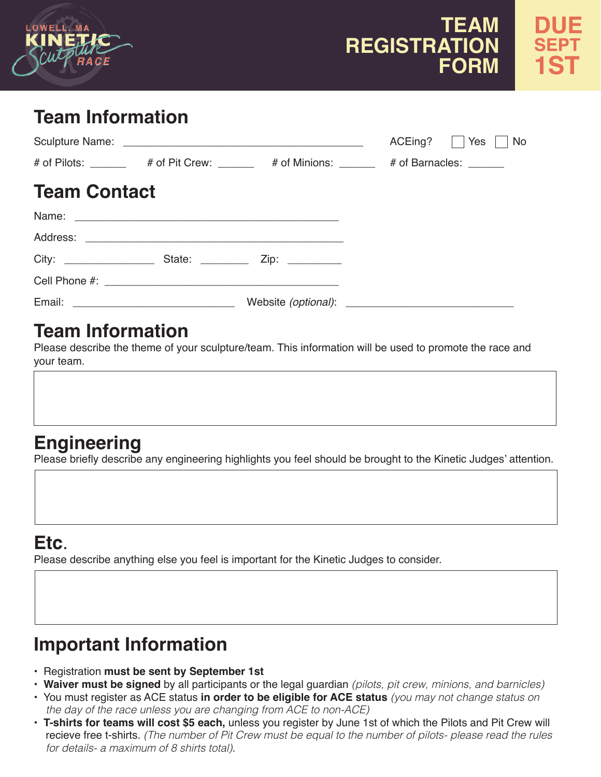

# **TEAM REGISTRATION FORM**

# **Team Information**

|                     |  | ACEing?     Yes     No                                                               |
|---------------------|--|--------------------------------------------------------------------------------------|
|                     |  | # of Pilots: _______ # of Pit Crew: ______ # of Minions: _____ # of Barnacles: _____ |
| <b>Team Contact</b> |  |                                                                                      |
|                     |  |                                                                                      |
|                     |  |                                                                                      |
|                     |  |                                                                                      |
|                     |  |                                                                                      |
|                     |  |                                                                                      |

# **Team Information**

Please describe the theme of your sculpture/team. This information will be used to promote the race and your team.

# **Engineering**

Please briefly describe any engineering highlights you feel should be brought to the Kinetic Judges' attention.

# **Etc**.

Please describe anything else you feel is important for the Kinetic Judges to consider.

# **Important Information**

- Registration **must be sent by September 1st**
- **Waiver must be signed** by all participants or the legal guardian *(pilots, pit crew, minions, and barnicles)*
- You must register as ACE status **in order to be eligible for ACE status** *(you may not change status on the day of the race unless you are changing from ACE to non-ACE)*
- **T-shirts for teams will cost \$5 each,** unless you register by June 1st of which the Pilots and Pit Crew will recieve free t-shirts. *(The number of Pit Crew must be equal to the number of pilots- please read the rules for details- a maximum of 8 shirts total)*.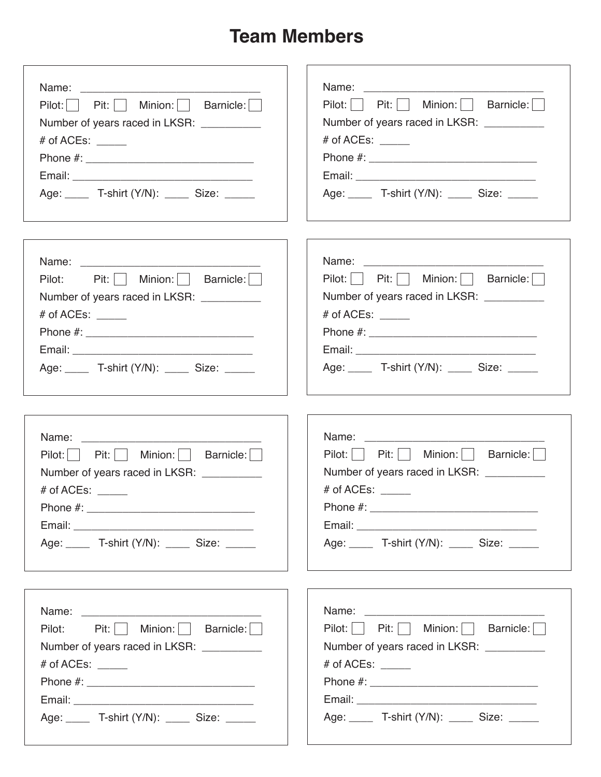# **Team Members**

| Pilot:   Pit:   Minion:   Barnicle:          | Pilot:   Pit:   Minion:   Barnicle:          |
|----------------------------------------------|----------------------------------------------|
| Number of years raced in LKSR: __________    | Number of years raced in LKSR: __________    |
| # of ACEs: $\_\_$                            | # of ACEs: $\_\_$                            |
|                                              |                                              |
|                                              |                                              |
| Age: T-shirt (Y/N): Size:                    | Age: ______ T-shirt (Y/N): _____ Size: _____ |
|                                              |                                              |
| Pilot: Pit:     Minion:     Barnicle:        | Pilot:   Pit:   Minion:   Barnicle:          |
| Number of years raced in LKSR: __________    | Number of years raced in LKSR: __________    |
| # of ACEs: $\frac{1}{2}$                     | # of ACEs: $\_\_$                            |
|                                              |                                              |
|                                              |                                              |
| Age: ______ T-shirt (Y/N): _____ Size: _____ | Age: ______ T-shirt (Y/N): _____ Size: _____ |
|                                              |                                              |
| Pilot:   Pit:     Minion:     Barnicle:      | Pilot:   Pit:     Minion:     Barnicle:      |
| Number of years raced in LKSR: _________     | Number of years raced in LKSR: __________    |
| # of ACEs: _____                             | # of ACEs: $\_\_$                            |
|                                              |                                              |
|                                              |                                              |
| Age: ______ T-shirt (Y/N): _____ Size: _____ | Age: T-shirt (Y/N): Size:                    |
|                                              |                                              |
| Pilot: Pit:   Minion:   Barnicle:            | Pilot:   Pit:   Minion:   Barnicle:          |
| Number of years raced in LKSR: __________    | Number of years raced in LKSR: __________    |
| # of ACEs: $\_\_$                            | # of ACEs: $\_\_$                            |
|                                              |                                              |
|                                              |                                              |
| Age: ______ T-shirt (Y/N): _____ Size: _____ | Age: ______ T-shirt (Y/N): _____ Size: _____ |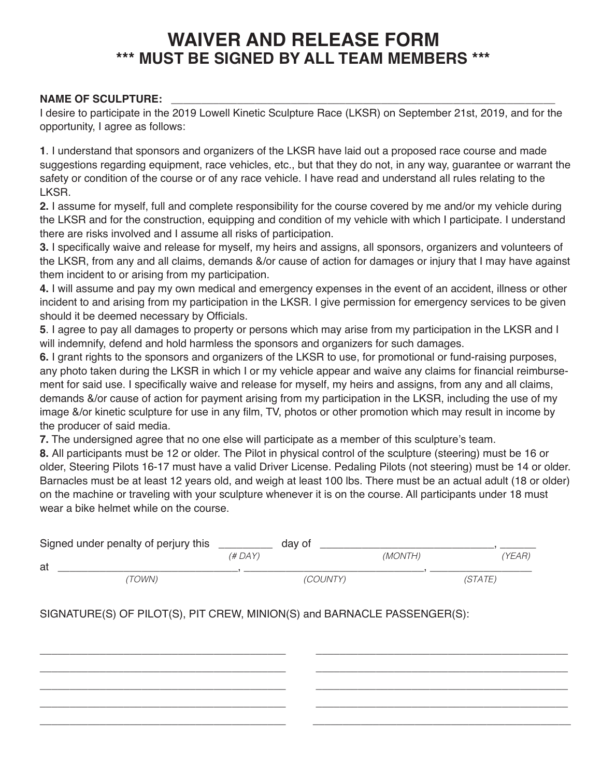## **WAIVER AND RELEASE FORM \*\*\* MUST BE SIGNED BY ALL TEAM MEMBERS \*\*\***

#### NAME OF SCULPTURE:

I desire to participate in the 2019 Lowell Kinetic Sculpture Race (LKSR) on September 21st, 2019, and for the opportunity, I agree as follows:

**1**. I understand that sponsors and organizers of the LKSR have laid out a proposed race course and made suggestions regarding equipment, race vehicles, etc., but that they do not, in any way, guarantee or warrant the safety or condition of the course or of any race vehicle. I have read and understand all rules relating to the LKSR.

**2.** I assume for myself, full and complete responsibility for the course covered by me and/or my vehicle during the LKSR and for the construction, equipping and condition of my vehicle with which I participate. I understand there are risks involved and I assume all risks of participation.

**3.** I specifically waive and release for myself, my heirs and assigns, all sponsors, organizers and volunteers of the LKSR, from any and all claims, demands &/or cause of action for damages or injury that I may have against them incident to or arising from my participation.

**4.** I will assume and pay my own medical and emergency expenses in the event of an accident, illness or other incident to and arising from my participation in the LKSR. I give permission for emergency services to be given should it be deemed necessary by Officials.

**5**. I agree to pay all damages to property or persons which may arise from my participation in the LKSR and I will indemnify, defend and hold harmless the sponsors and organizers for such damages.

**6.** I grant rights to the sponsors and organizers of the LKSR to use, for promotional or fund-raising purposes, any photo taken during the LKSR in which I or my vehicle appear and waive any claims for financial reimbursement for said use. I specifically waive and release for myself, my heirs and assigns, from any and all claims, demands &/or cause of action for payment arising from my participation in the LKSR, including the use of my image &/or kinetic sculpture for use in any film, TV, photos or other promotion which may result in income by the producer of said media.

**7.** The undersigned agree that no one else will participate as a member of this sculpture's team.

**8.** All participants must be 12 or older. The Pilot in physical control of the sculpture (steering) must be 16 or older, Steering Pilots 16-17 must have a valid Driver License. Pedaling Pilots (not steering) must be 14 or older. Barnacles must be at least 12 years old, and weigh at least 100 lbs. There must be an actual adult (18 or older) on the machine or traveling with your sculpture whenever it is on the course. All participants under 18 must wear a bike helmet while on the course.

| Signed under penalty of perjury this |         | day of   |         |                |        |
|--------------------------------------|---------|----------|---------|----------------|--------|
| at                                   | (# DAY) |          | (MONTH) |                | (YEAR) |
| TOWN)                                |         | (COUNTY) |         | <i>(STATE)</i> |        |

\_\_\_\_\_\_\_\_\_\_\_\_\_\_\_\_\_\_\_\_\_\_\_\_\_\_\_\_\_\_\_\_\_\_\_\_\_\_\_\_\_ \_\_\_\_\_\_\_\_\_\_\_\_\_\_\_\_\_\_\_\_\_\_\_\_\_\_\_\_\_\_\_\_\_\_\_\_\_\_\_\_\_\_ \_\_\_\_\_\_\_\_\_\_\_\_\_\_\_\_\_\_\_\_\_\_\_\_\_\_\_\_\_\_\_\_\_\_\_\_\_\_\_\_\_ \_\_\_\_\_\_\_\_\_\_\_\_\_\_\_\_\_\_\_\_\_\_\_\_\_\_\_\_\_\_\_\_\_\_\_\_\_\_\_\_\_\_ \_\_\_\_\_\_\_\_\_\_\_\_\_\_\_\_\_\_\_\_\_\_\_\_\_\_\_\_\_\_\_\_\_\_\_\_\_\_\_\_\_ \_\_\_\_\_\_\_\_\_\_\_\_\_\_\_\_\_\_\_\_\_\_\_\_\_\_\_\_\_\_\_\_\_\_\_\_\_\_\_\_\_\_ \_\_\_\_\_\_\_\_\_\_\_\_\_\_\_\_\_\_\_\_\_\_\_\_\_\_\_\_\_\_\_\_\_\_\_\_\_\_\_\_\_ \_\_\_\_\_\_\_\_\_\_\_\_\_\_\_\_\_\_\_\_\_\_\_\_\_\_\_\_\_\_\_\_\_\_\_\_\_\_\_\_\_\_ \_\_\_\_\_\_\_\_\_\_\_\_\_\_\_\_\_\_\_\_\_\_\_\_\_\_\_\_\_\_\_\_\_\_\_\_\_\_\_\_\_ \_\_\_\_\_\_\_\_\_\_\_\_\_\_\_\_\_\_\_\_\_\_\_\_\_\_\_\_\_\_\_\_\_\_\_\_\_\_\_\_\_\_\_

SIGNATURE(S) OF PILOT(S), PIT CREW, MINION(S) and BARNACLE PASSENGER(S):